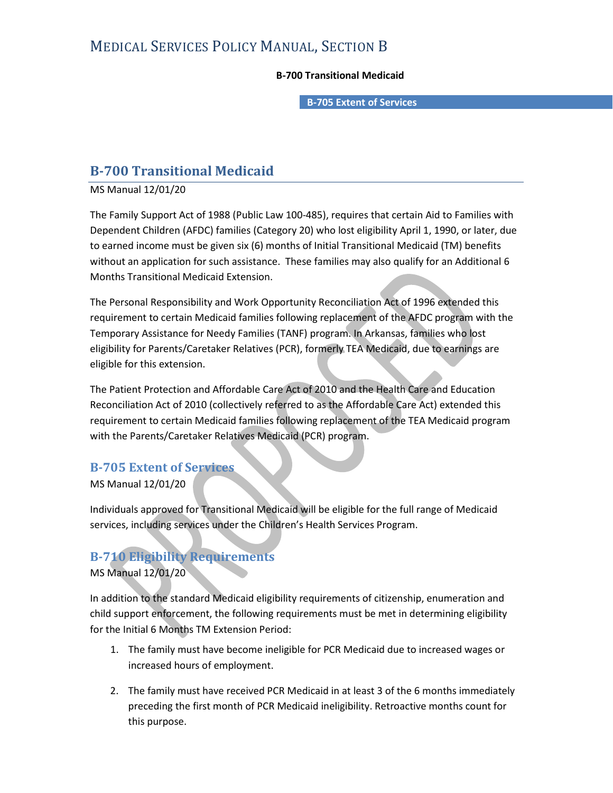# MEDICAL SERVICES POLICY MANUAL, SECTION B<br>B-700 Transitional Medicaid<br>B-705 Extent of Services

## B-700 Transitional Medicaid

## B-700 Transitional Medicaid

MS Manual 12/01/20

The Family Support Act of 1988 (Public Law 100-485), requires that certain Aid to Families with Dependent Children (AFDC) families (Category 20) who lost eligibility April 1, 1990, or later, due to earned income must be given six (6) months of Initial Transitional Medicaid (TM) benefits without an application for such assistance. These families may also qualify for an Additional 6 Months Transitional Medicaid Extension.

The Personal Responsibility and Work Opportunity Reconciliation Act of 1996 extended this requirement to certain Medicaid families following replacement of the AFDC program with the Temporary Assistance for Needy Families (TANF) program. In Arkansas, families who lost eligibility for Parents/Caretaker Relatives (PCR), formerly TEA Medicaid, due to earnings are eligible for this extension.

The Patient Protection and Affordable Care Act of 2010 and the Health Care and Education Reconciliation Act of 2010 (collectively referred to as the Affordable Care Act) extended this requirement to certain Medicaid families following replacement of the TEA Medicaid program with the Parents/Caretaker Relatives Medicaid (PCR) program.

## B-705 Extent of Services

MS Manual 12/01/20

Individuals approved for Transitional Medicaid will be eligible for the full range of Medicaid services, including services under the Children's Health Services Program.

## B-710 Eligibility Requirements

MS Manual 12/01/20

In addition to the standard Medicaid eligibility requirements of citizenship, enumeration and child support enforcement, the following requirements must be met in determining eligibility for the Initial 6 Months TM Extension Period:

- 1. The family must have become ineligible for PCR Medicaid due to increased wages or increased hours of employment.
- 2. The family must have received PCR Medicaid in at least 3 of the 6 months immediately preceding the first month of PCR Medicaid ineligibility. Retroactive months count for this purpose.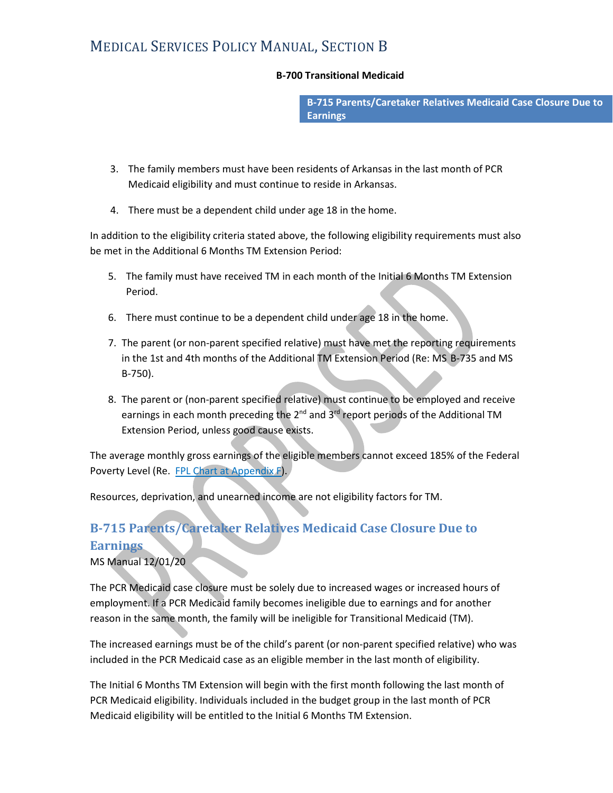# MEDICAL SERVICES POLICY MANUAL, SECTION B<br>B-700 Transitional Medicaid<br>B-715 Parents/Caretaker Relatives Medicaid Case Closure Due to

### B-700 Transitional Medicaid

**Earnings** 

- 3. The family members must have been residents of Arkansas in the last month of PCR Medicaid eligibility and must continue to reside in Arkansas.
- 4. There must be a dependent child under age 18 in the home.

In addition to the eligibility criteria stated above, the following eligibility requirements must also be met in the Additional 6 Months TM Extension Period:

- 5. The family must have received TM in each month of the Initial 6 Months TM Extension Period.
- 6. There must continue to be a dependent child under age 18 in the home.
- 7. The parent (or non-parent specified relative) must have met the reporting requirements in the 1st and 4th months of the Additional TM Extension Period (Re: MS B-735 and MS B-750).
- 8. The parent or (non-parent specified relative) must continue to be employed and receive earnings in each month preceding the  $2^{nd}$  and  $3^{rd}$  report periods of the Additional TM Extension Period, unless good cause exists.

The average monthly gross earnings of the eligible members cannot exceed 185% of the Federal Poverty Level (Re. FPL Chart at Appendix F).

Resources, deprivation, and unearned income are not eligibility factors for TM.

## B-715 Parents/Caretaker Relatives Medicaid Case Closure Due to **Earnings**

MS Manual 12/01/20

The PCR Medicaid case closure must be solely due to increased wages or increased hours of employment. If a PCR Medicaid family becomes ineligible due to earnings and for another reason in the same month, the family will be ineligible for Transitional Medicaid (TM).

The increased earnings must be of the child's parent (or non-parent specified relative) who was included in the PCR Medicaid case as an eligible member in the last month of eligibility.

The Initial 6 Months TM Extension will begin with the first month following the last month of PCR Medicaid eligibility. Individuals included in the budget group in the last month of PCR Medicaid eligibility will be entitled to the Initial 6 Months TM Extension.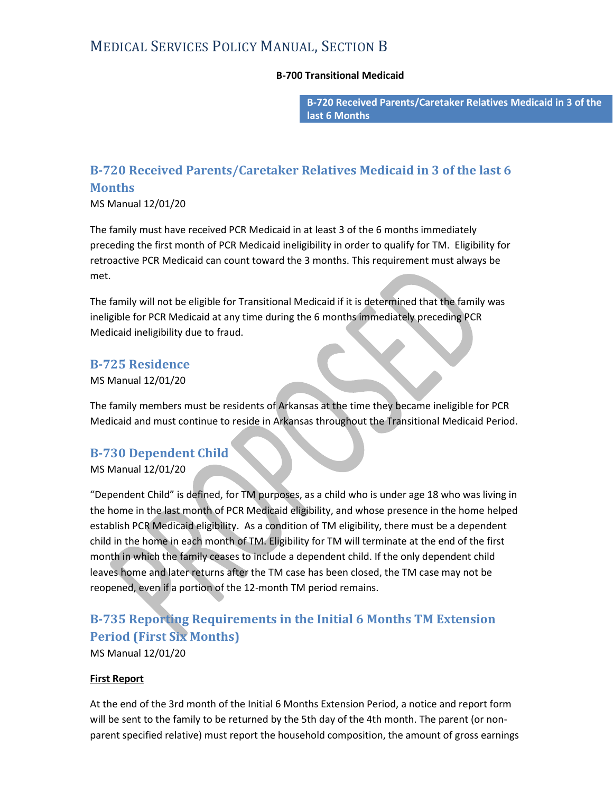# MEDICAL SERVICES POLICY MANUAL, SECTION B<br>B-700 Transitional Medicaid<br>B-720 Received Parents/Caretaker Relatives Medicaid in 3 of the

### B-700 Transitional Medicaid

last 6 Months

## B-720 Received Parents/Caretaker Relatives Medicaid in 3 of the last 6 Months

MS Manual 12/01/20

The family must have received PCR Medicaid in at least 3 of the 6 months immediately preceding the first month of PCR Medicaid ineligibility in order to qualify for TM. Eligibility for retroactive PCR Medicaid can count toward the 3 months. This requirement must always be met.

The family will not be eligible for Transitional Medicaid if it is determined that the family was ineligible for PCR Medicaid at any time during the 6 months immediately preceding PCR Medicaid ineligibility due to fraud.

## B-725 Residence

MS Manual 12/01/20

The family members must be residents of Arkansas at the time they became ineligible for PCR Medicaid and must continue to reside in Arkansas throughout the Transitional Medicaid Period.

## B-730 Dependent Child

MS Manual 12/01/20

"Dependent Child" is defined, for TM purposes, as a child who is under age 18 who was living in the home in the last month of PCR Medicaid eligibility, and whose presence in the home helped establish PCR Medicaid eligibility. As a condition of TM eligibility, there must be a dependent child in the home in each month of TM. Eligibility for TM will terminate at the end of the first month in which the family ceases to include a dependent child. If the only dependent child leaves home and later returns after the TM case has been closed, the TM case may not be reopened, even if a portion of the 12-month TM period remains.

## B-735 Reporting Requirements in the Initial 6 Months TM Extension Period (First Six Months)

MS Manual 12/01/20

## First Report

At the end of the 3rd month of the Initial 6 Months Extension Period, a notice and report form will be sent to the family to be returned by the 5th day of the 4th month. The parent (or nonparent specified relative) must report the household composition, the amount of gross earnings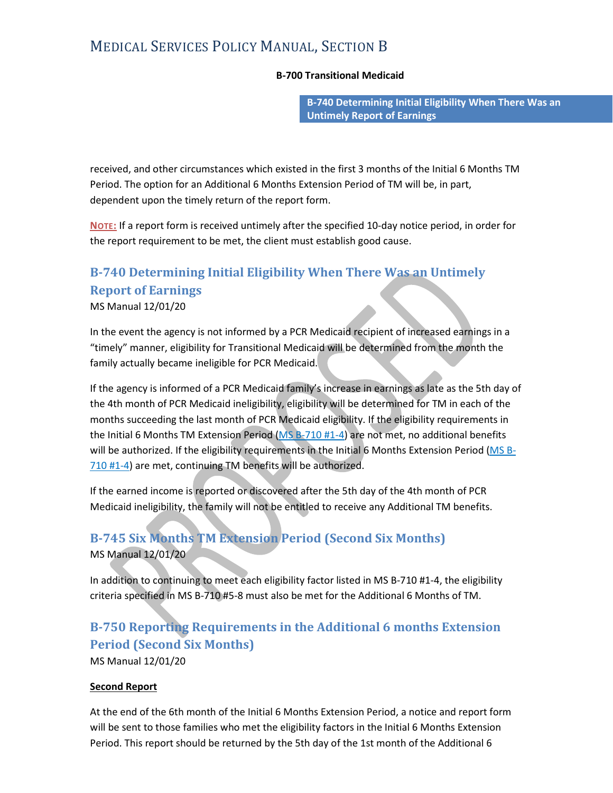# MEDICAL SERVICES POLICY MANUAL, SECTION B<br>B-700 Transitional Medicaid<br>B-740 Determining Initial Eligibility When There Was an

B-700 Transitional Medicaid<br>B-740 Determining Initial Eligibility When There Was an<br>Untimely Report of Earnings

received, and other circumstances which existed in the first 3 months of the Initial 6 Months TM Period. The option for an Additional 6 Months Extension Period of TM will be, in part, dependent upon the timely return of the report form.

NOTE: If a report form is received untimely after the specified 10-day notice period, in order for the report requirement to be met, the client must establish good cause.

## B-740 Determining Initial Eligibility When There Was an Untimely Report of Earnings

MS Manual 12/01/20

In the event the agency is not informed by a PCR Medicaid recipient of increased earnings in a "timely" manner, eligibility for Transitional Medicaid will be determined from the month the family actually became ineligible for PCR Medicaid.

If the agency is informed of a PCR Medicaid family's increase in earnings as late as the 5th day of the 4th month of PCR Medicaid ineligibility, eligibility will be determined for TM in each of the months succeeding the last month of PCR Medicaid eligibility. If the eligibility requirements in the Initial 6 Months TM Extension Period (MS B-710 #1-4) are not met, no additional benefits dependent upon the timely return of the report form.<br>
Norg: If a report form is received untimely after the specified 10-day notice period, in order for<br>
the report requirement to be met, the client must establish good cau 710 #1-4) are met, continuing TM benefits will be authorized.

If the earned income is reported or discovered after the 5th day of the 4th month of PCR Medicaid ineligibility, the family will not be entitled to receive any Additional TM benefits.

## B-745 Six Months TM Extension Period (Second Six Months) MS Manual 12/01/20

In addition to continuing to meet each eligibility factor listed in MS B-710 #1-4, the eligibility criteria specified in MS B-710 #5-8 must also be met for the Additional 6 Months of TM.

## B-750 Reporting Requirements in the Additional 6 months Extension Period (Second Six Months)

MS Manual 12/01/20

## Second Report

At the end of the 6th month of the Initial 6 Months Extension Period, a notice and report form will be sent to those families who met the eligibility factors in the Initial 6 Months Extension Period. This report should be returned by the 5th day of the 1st month of the Additional 6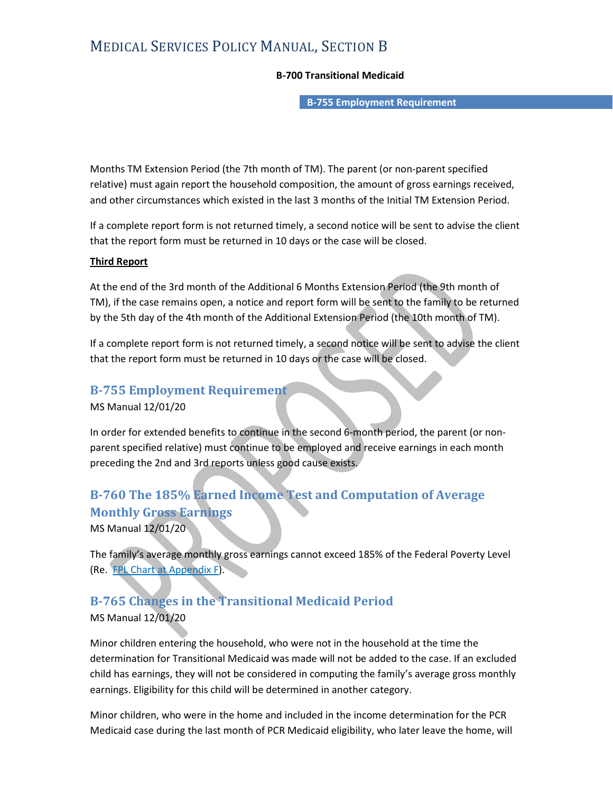# MEDICAL SERVICES POLICY MANUAL, SECTION B<br>B-700 Transitional Medicaid<br>B-755 Employment Requirement

## B-700 Transitional Medicaid

Months TM Extension Period (the 7th month of TM). The parent (or non-parent specified relative) must again report the household composition, the amount of gross earnings received, and other circumstances which existed in the last 3 months of the Initial TM Extension Period.

If a complete report form is not returned timely, a second notice will be sent to advise the client that the report form must be returned in 10 days or the case will be closed.

## Third Report

At the end of the 3rd month of the Additional 6 Months Extension Period (the 9th month of TM), if the case remains open, a notice and report form will be sent to the family to be returned by the 5th day of the 4th month of the Additional Extension Period (the 10th month of TM).

If a complete report form is not returned timely, a second notice will be sent to advise the client that the report form must be returned in 10 days or the case will be closed.

## B-755 Employment Requirement

MS Manual 12/01/20

In order for extended benefits to continue in the second 6-month period, the parent (or nonparent specified relative) must continue to be employed and receive earnings in each month preceding the 2nd and 3rd reports unless good cause exists.

## B-760 The 185% Earned Income Test and Computation of Average Monthly Gross Earnings

MS Manual 12/01/20

The family's average monthly gross earnings cannot exceed 185% of the Federal Poverty Level (Re. FPL Chart at Appendix F).

## B-765 Changes in the Transitional Medicaid Period

MS Manual 12/01/20

Minor children entering the household, who were not in the household at the time the determination for Transitional Medicaid was made will not be added to the case. If an excluded child has earnings, they will not be considered in computing the family's average gross monthly earnings. Eligibility for this child will be determined in another category.

Minor children, who were in the home and included in the income determination for the PCR Medicaid case during the last month of PCR Medicaid eligibility, who later leave the home, will